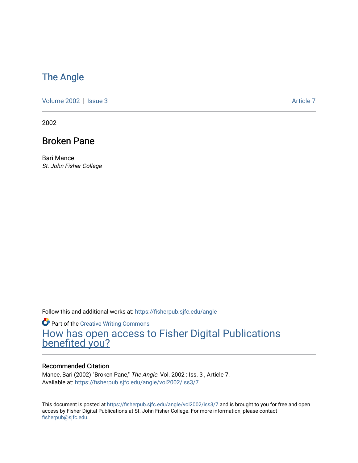### [The Angle](https://fisherpub.sjfc.edu/angle)

[Volume 2002](https://fisherpub.sjfc.edu/angle/vol2002) | [Issue 3](https://fisherpub.sjfc.edu/angle/vol2002/iss3) Article 7

2002

### Broken Pane

Bari Mance St. John Fisher College

Follow this and additional works at: [https://fisherpub.sjfc.edu/angle](https://fisherpub.sjfc.edu/angle?utm_source=fisherpub.sjfc.edu%2Fangle%2Fvol2002%2Fiss3%2F7&utm_medium=PDF&utm_campaign=PDFCoverPages)

**Part of the Creative Writing Commons** [How has open access to Fisher Digital Publications](https://docs.google.com/forms/d/14zrnDfH9d1wcdq8oG_-gFabAsxfcH5claltx85ZWyTg/viewform?entry.1394608989=https://fisherpub.sjfc.edu/angle/vol2002/iss3/7%3Chttps://docs.google.com/forms/d/14zrnDfH9d1wcdq8oG_-gFabAsxfcH5claltx85ZWyTg/viewform?entry.1394608989=%7bhttps://fisherpub.sjfc.edu/angle/vol2002/iss3/7%7d) [benefited you?](https://docs.google.com/forms/d/14zrnDfH9d1wcdq8oG_-gFabAsxfcH5claltx85ZWyTg/viewform?entry.1394608989=https://fisherpub.sjfc.edu/angle/vol2002/iss3/7%3Chttps://docs.google.com/forms/d/14zrnDfH9d1wcdq8oG_-gFabAsxfcH5claltx85ZWyTg/viewform?entry.1394608989=%7bhttps://fisherpub.sjfc.edu/angle/vol2002/iss3/7%7d)

#### Recommended Citation

Mance, Bari (2002) "Broken Pane," The Angle: Vol. 2002 : Iss. 3 , Article 7. Available at: [https://fisherpub.sjfc.edu/angle/vol2002/iss3/7](https://fisherpub.sjfc.edu/angle/vol2002/iss3/7?utm_source=fisherpub.sjfc.edu%2Fangle%2Fvol2002%2Fiss3%2F7&utm_medium=PDF&utm_campaign=PDFCoverPages)

This document is posted at <https://fisherpub.sjfc.edu/angle/vol2002/iss3/7> and is brought to you for free and open access by Fisher Digital Publications at St. John Fisher College. For more information, please contact [fisherpub@sjfc.edu](mailto:fisherpub@sjfc.edu).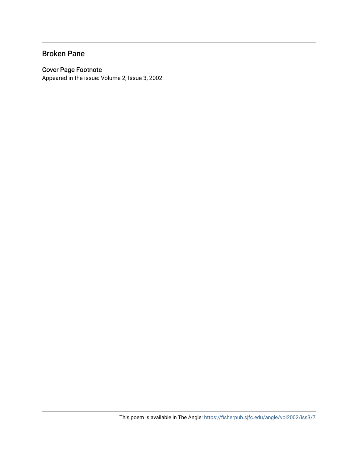### Broken Pane

#### Cover Page Footnote

Appeared in the issue: Volume 2, Issue 3, 2002.